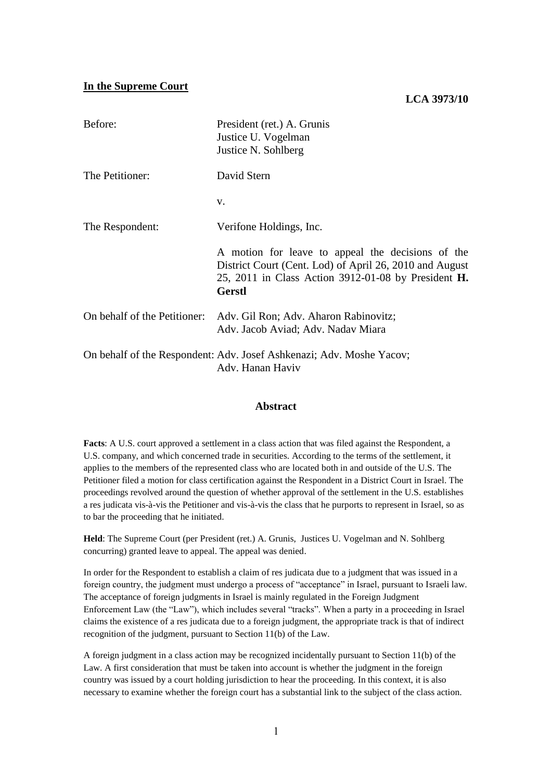#### **In the Supreme Court**

### **LCA 3973/10**

| Before:                      | President (ret.) A. Grunis<br>Justice U. Vogelman<br>Justice N. Sohlberg                                                                                                             |
|------------------------------|--------------------------------------------------------------------------------------------------------------------------------------------------------------------------------------|
| The Petitioner:              | David Stern                                                                                                                                                                          |
|                              | V.                                                                                                                                                                                   |
| The Respondent:              | Verifone Holdings, Inc.                                                                                                                                                              |
|                              | A motion for leave to appeal the decisions of the<br>District Court (Cent. Lod) of April 26, 2010 and August<br>25, 2011 in Class Action 3912-01-08 by President H.<br><b>Gerstl</b> |
| On behalf of the Petitioner: | Adv. Gil Ron; Adv. Aharon Rabinovitz;<br>Adv. Jacob Aviad; Adv. Nadav Miara                                                                                                          |
|                              | On behalf of the Respondent: Adv. Josef Ashkenazi; Adv. Moshe Yacov;<br>Adv. Hanan Haviv                                                                                             |

#### **Abstract**

**Facts**: A U.S. court approved a settlement in a class action that was filed against the Respondent, a U.S. company, and which concerned trade in securities. According to the terms of the settlement, it applies to the members of the represented class who are located both in and outside of the U.S. The Petitioner filed a motion for class certification against the Respondent in a District Court in Israel. The proceedings revolved around the question of whether approval of the settlement in the U.S. establishes a res judicata vis-à-vis the Petitioner and vis-à-vis the class that he purports to represent in Israel, so as to bar the proceeding that he initiated.

**Held**: The Supreme Court (per President (ret.) A. Grunis, Justices U. Vogelman and N. Sohlberg concurring) granted leave to appeal. The appeal was denied.

In order for the Respondent to establish a claim of res judicata due to a judgment that was issued in a foreign country, the judgment must undergo a process of "acceptance" in Israel, pursuant to Israeli law. The acceptance of foreign judgments in Israel is mainly regulated in the Foreign Judgment Enforcement Law (the "Law"), which includes several "tracks". When a party in a proceeding in Israel claims the existence of a res judicata due to a foreign judgment, the appropriate track is that of indirect recognition of the judgment, pursuant to Section 11(b) of the Law.

A foreign judgment in a class action may be recognized incidentally pursuant to Section 11(b) of the Law. A first consideration that must be taken into account is whether the judgment in the foreign country was issued by a court holding jurisdiction to hear the proceeding. In this context, it is also necessary to examine whether the foreign court has a substantial link to the subject of the class action.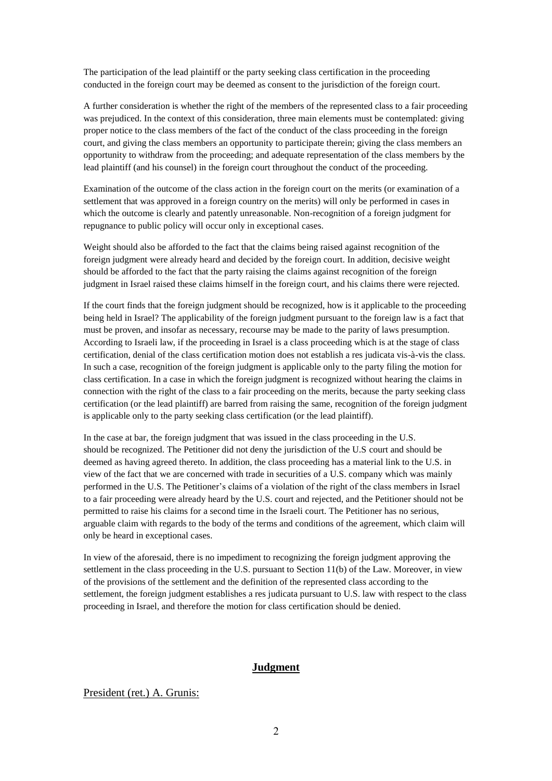The participation of the lead plaintiff or the party seeking class certification in the proceeding conducted in the foreign court may be deemed as consent to the jurisdiction of the foreign court.

A further consideration is whether the right of the members of the represented class to a fair proceeding was prejudiced. In the context of this consideration, three main elements must be contemplated: giving proper notice to the class members of the fact of the conduct of the class proceeding in the foreign court, and giving the class members an opportunity to participate therein; giving the class members an opportunity to withdraw from the proceeding; and adequate representation of the class members by the lead plaintiff (and his counsel) in the foreign court throughout the conduct of the proceeding.

Examination of the outcome of the class action in the foreign court on the merits (or examination of a settlement that was approved in a foreign country on the merits) will only be performed in cases in which the outcome is clearly and patently unreasonable. Non-recognition of a foreign judgment for repugnance to public policy will occur only in exceptional cases.

Weight should also be afforded to the fact that the claims being raised against recognition of the foreign judgment were already heard and decided by the foreign court. In addition, decisive weight should be afforded to the fact that the party raising the claims against recognition of the foreign judgment in Israel raised these claims himself in the foreign court, and his claims there were rejected.

If the court finds that the foreign judgment should be recognized, how is it applicable to the proceeding being held in Israel? The applicability of the foreign judgment pursuant to the foreign law is a fact that must be proven, and insofar as necessary, recourse may be made to the parity of laws presumption. According to Israeli law, if the proceeding in Israel is a class proceeding which is at the stage of class certification, denial of the class certification motion does not establish a res judicata vis-à-vis the class. In such a case, recognition of the foreign judgment is applicable only to the party filing the motion for class certification. In a case in which the foreign judgment is recognized without hearing the claims in connection with the right of the class to a fair proceeding on the merits, because the party seeking class certification (or the lead plaintiff) are barred from raising the same, recognition of the foreign judgment is applicable only to the party seeking class certification (or the lead plaintiff).

In the case at bar, the foreign judgment that was issued in the class proceeding in the U.S. should be recognized. The Petitioner did not deny the jurisdiction of the U.S court and should be deemed as having agreed thereto. In addition, the class proceeding has a material link to the U.S. in view of the fact that we are concerned with trade in securities of a U.S. company which was mainly performed in the U.S. The Petitioner's claims of a violation of the right of the class members in Israel to a fair proceeding were already heard by the U.S. court and rejected, and the Petitioner should not be permitted to raise his claims for a second time in the Israeli court. The Petitioner has no serious, arguable claim with regards to the body of the terms and conditions of the agreement, which claim will only be heard in exceptional cases.

In view of the aforesaid, there is no impediment to recognizing the foreign judgment approving the settlement in the class proceeding in the U.S. pursuant to Section 11(b) of the Law. Moreover, in view of the provisions of the settlement and the definition of the represented class according to the settlement, the foreign judgment establishes a res judicata pursuant to U.S. law with respect to the class proceeding in Israel, and therefore the motion for class certification should be denied.

### **Judgment**

#### President (ret.) A. Grunis: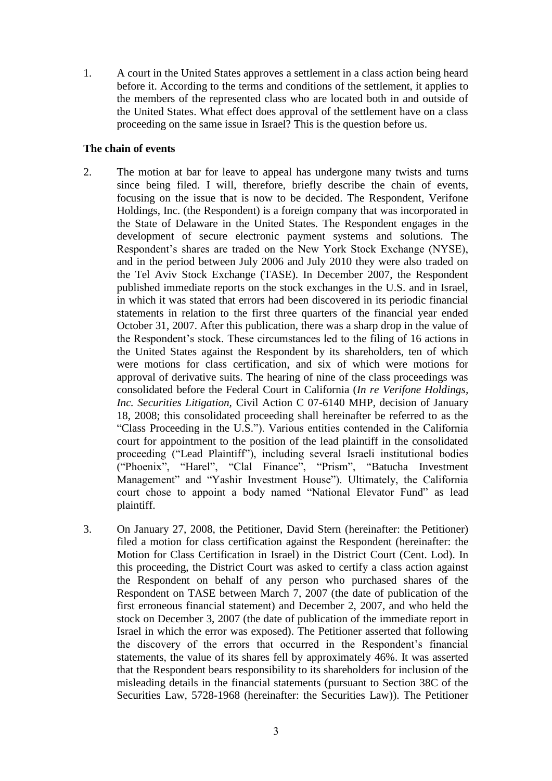1. A court in the United States approves a settlement in a class action being heard before it. According to the terms and conditions of the settlement, it applies to the members of the represented class who are located both in and outside of the United States. What effect does approval of the settlement have on a class proceeding on the same issue in Israel? This is the question before us.

# **The chain of events**

- 2. The motion at bar for leave to appeal has undergone many twists and turns since being filed. I will, therefore, briefly describe the chain of events, focusing on the issue that is now to be decided. The Respondent, Verifone Holdings, Inc. (the Respondent) is a foreign company that was incorporated in the State of Delaware in the United States. The Respondent engages in the development of secure electronic payment systems and solutions. The Respondent's shares are traded on the New York Stock Exchange (NYSE), and in the period between July 2006 and July 2010 they were also traded on the Tel Aviv Stock Exchange (TASE). In December 2007, the Respondent published immediate reports on the stock exchanges in the U.S. and in Israel, in which it was stated that errors had been discovered in its periodic financial statements in relation to the first three quarters of the financial year ended October 31, 2007. After this publication, there was a sharp drop in the value of the Respondent's stock. These circumstances led to the filing of 16 actions in the United States against the Respondent by its shareholders, ten of which were motions for class certification, and six of which were motions for approval of derivative suits. The hearing of nine of the class proceedings was consolidated before the Federal Court in California (*In re Verifone Holdings, Inc. Securities Litigation,* Civil Action C 07-6140 MHP, decision of January 18, 2008; this consolidated proceeding shall hereinafter be referred to as the "Class Proceeding in the U.S."). Various entities contended in the California court for appointment to the position of the lead plaintiff in the consolidated proceeding ("Lead Plaintiff"), including several Israeli institutional bodies ("Phoenix", "Harel", "Clal Finance", "Prism", "Batucha Investment Management" and "Yashir Investment House"). Ultimately, the California court chose to appoint a body named "National Elevator Fund" as lead plaintiff.
- 3. On January 27, 2008, the Petitioner, David Stern (hereinafter: the Petitioner) filed a motion for class certification against the Respondent (hereinafter: the Motion for Class Certification in Israel) in the District Court (Cent. Lod). In this proceeding, the District Court was asked to certify a class action against the Respondent on behalf of any person who purchased shares of the Respondent on TASE between March 7, 2007 (the date of publication of the first erroneous financial statement) and December 2, 2007, and who held the stock on December 3, 2007 (the date of publication of the immediate report in Israel in which the error was exposed). The Petitioner asserted that following the discovery of the errors that occurred in the Respondent's financial statements, the value of its shares fell by approximately 46%. It was asserted that the Respondent bears responsibility to its shareholders for inclusion of the misleading details in the financial statements (pursuant to Section 38C of the Securities Law, 5728-1968 (hereinafter: the Securities Law)). The Petitioner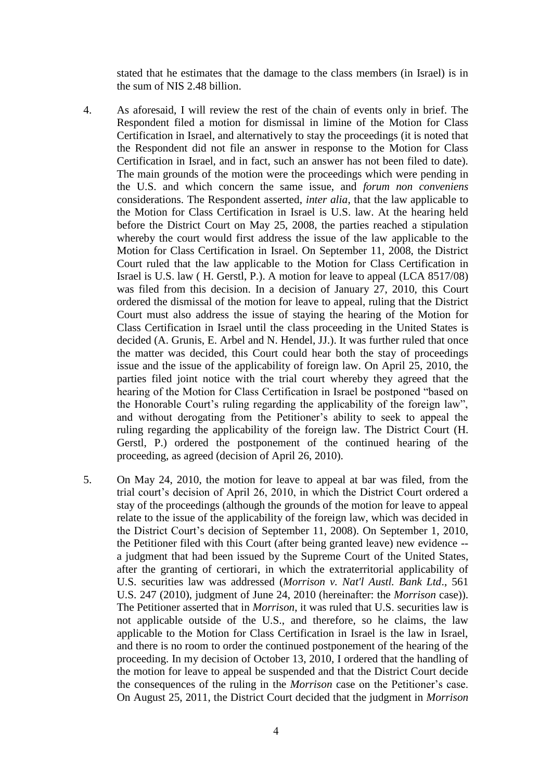stated that he estimates that the damage to the class members (in Israel) is in the sum of NIS 2.48 billion.

- 4. As aforesaid, I will review the rest of the chain of events only in brief. The Respondent filed a motion for dismissal in limine of the Motion for Class Certification in Israel, and alternatively to stay the proceedings (it is noted that the Respondent did not file an answer in response to the Motion for Class Certification in Israel, and in fact, such an answer has not been filed to date). The main grounds of the motion were the proceedings which were pending in the U.S. and which concern the same issue, and *forum non conveniens* considerations. The Respondent asserted, *inter alia*, that the law applicable to the Motion for Class Certification in Israel is U.S. law. At the hearing held before the District Court on May 25, 2008, the parties reached a stipulation whereby the court would first address the issue of the law applicable to the Motion for Class Certification in Israel. On September 11, 2008, the District Court ruled that the law applicable to the Motion for Class Certification in Israel is U.S. law ( H. Gerstl, P.). A motion for leave to appeal (LCA 8517/08) was filed from this decision. In a decision of January 27, 2010, this Court ordered the dismissal of the motion for leave to appeal, ruling that the District Court must also address the issue of staying the hearing of the Motion for Class Certification in Israel until the class proceeding in the United States is decided (A. Grunis, E. Arbel and N. Hendel, JJ.). It was further ruled that once the matter was decided, this Court could hear both the stay of proceedings issue and the issue of the applicability of foreign law. On April 25, 2010, the parties filed joint notice with the trial court whereby they agreed that the hearing of the Motion for Class Certification in Israel be postponed "based on the Honorable Court's ruling regarding the applicability of the foreign law", and without derogating from the Petitioner's ability to seek to appeal the ruling regarding the applicability of the foreign law. The District Court (H. Gerstl, P.) ordered the postponement of the continued hearing of the proceeding, as agreed (decision of April 26, 2010).
- 5. On May 24, 2010, the motion for leave to appeal at bar was filed, from the trial court's decision of April 26, 2010, in which the District Court ordered a stay of the proceedings (although the grounds of the motion for leave to appeal relate to the issue of the applicability of the foreign law, which was decided in the District Court's decision of September 11, 2008). On September 1, 2010, the Petitioner filed with this Court (after being granted leave) new evidence - a judgment that had been issued by the Supreme Court of the United States, after the granting of certiorari, in which the extraterritorial applicability of U.S. securities law was addressed (*Morrison v. Nat'l Austl. Bank Ltd*., 561 U.S. 247 (2010), judgment of June 24, 2010 (hereinafter: the *Morrison* case)). The Petitioner asserted that in *Morrison*, it was ruled that U.S. securities law is not applicable outside of the U.S., and therefore, so he claims, the law applicable to the Motion for Class Certification in Israel is the law in Israel, and there is no room to order the continued postponement of the hearing of the proceeding. In my decision of October 13, 2010, I ordered that the handling of the motion for leave to appeal be suspended and that the District Court decide the consequences of the ruling in the *Morrison* case on the Petitioner's case. On August 25, 2011, the District Court decided that the judgment in *Morrison*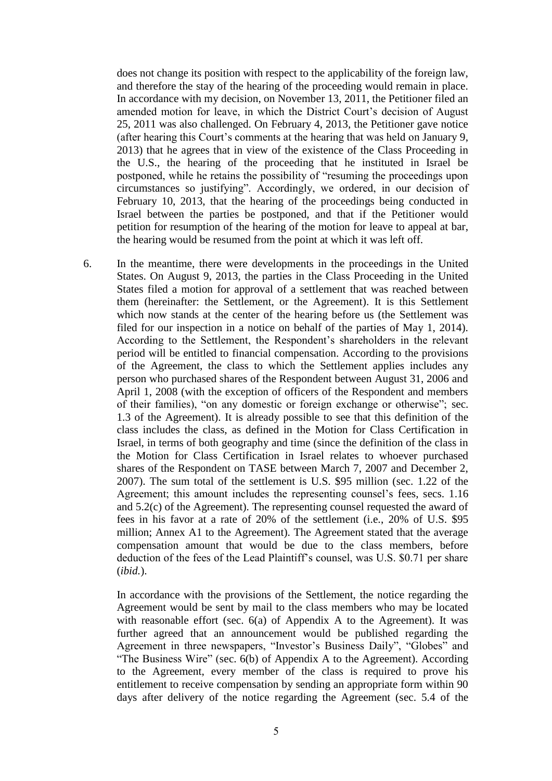does not change its position with respect to the applicability of the foreign law, and therefore the stay of the hearing of the proceeding would remain in place. In accordance with my decision, on November 13, 2011, the Petitioner filed an amended motion for leave, in which the District Court's decision of August 25, 2011 was also challenged. On February 4, 2013, the Petitioner gave notice (after hearing this Court's comments at the hearing that was held on January 9, 2013) that he agrees that in view of the existence of the Class Proceeding in the U.S., the hearing of the proceeding that he instituted in Israel be postponed, while he retains the possibility of "resuming the proceedings upon circumstances so justifying". Accordingly, we ordered, in our decision of February 10, 2013, that the hearing of the proceedings being conducted in Israel between the parties be postponed, and that if the Petitioner would petition for resumption of the hearing of the motion for leave to appeal at bar, the hearing would be resumed from the point at which it was left off.

6. In the meantime, there were developments in the proceedings in the United States. On August 9, 2013, the parties in the Class Proceeding in the United States filed a motion for approval of a settlement that was reached between them (hereinafter: the Settlement, or the Agreement). It is this Settlement which now stands at the center of the hearing before us (the Settlement was filed for our inspection in a notice on behalf of the parties of May 1, 2014). According to the Settlement, the Respondent's shareholders in the relevant period will be entitled to financial compensation. According to the provisions of the Agreement, the class to which the Settlement applies includes any person who purchased shares of the Respondent between August 31, 2006 and April 1, 2008 (with the exception of officers of the Respondent and members of their families), "on any domestic or foreign exchange or otherwise"; sec. 1.3 of the Agreement). It is already possible to see that this definition of the class includes the class, as defined in the Motion for Class Certification in Israel, in terms of both geography and time (since the definition of the class in the Motion for Class Certification in Israel relates to whoever purchased shares of the Respondent on TASE between March 7, 2007 and December 2, 2007). The sum total of the settlement is U.S. \$95 million (sec. 1.22 of the Agreement; this amount includes the representing counsel's fees, secs. 1.16 and 5.2(c) of the Agreement). The representing counsel requested the award of fees in his favor at a rate of 20% of the settlement (i.e., 20% of U.S. \$95 million; Annex A1 to the Agreement). The Agreement stated that the average compensation amount that would be due to the class members, before deduction of the fees of the Lead Plaintiff's counsel, was U.S. \$0.71 per share (*ibid.*).

In accordance with the provisions of the Settlement, the notice regarding the Agreement would be sent by mail to the class members who may be located with reasonable effort (sec. 6(a) of Appendix A to the Agreement). It was further agreed that an announcement would be published regarding the Agreement in three newspapers, "Investor's Business Daily", "Globes" and "The Business Wire" (sec. 6(b) of Appendix A to the Agreement). According to the Agreement, every member of the class is required to prove his entitlement to receive compensation by sending an appropriate form within 90 days after delivery of the notice regarding the Agreement (sec. 5.4 of the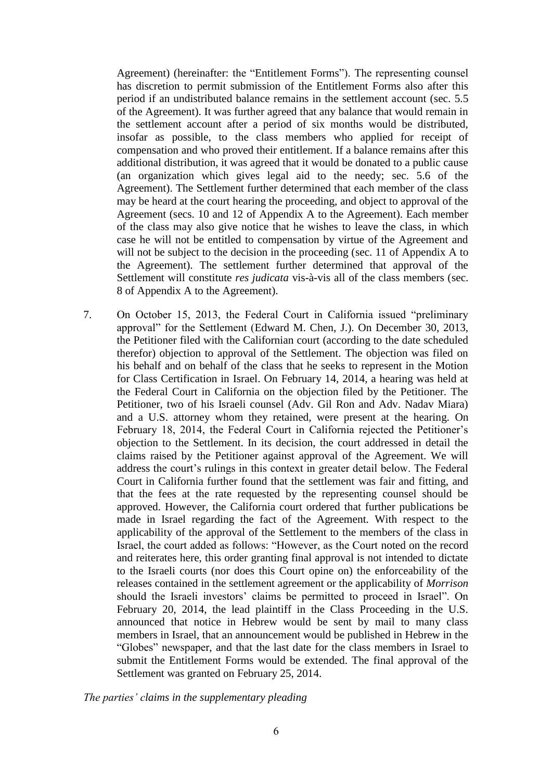Agreement) (hereinafter: the "Entitlement Forms"). The representing counsel has discretion to permit submission of the Entitlement Forms also after this period if an undistributed balance remains in the settlement account (sec. 5.5 of the Agreement). It was further agreed that any balance that would remain in the settlement account after a period of six months would be distributed, insofar as possible, to the class members who applied for receipt of compensation and who proved their entitlement. If a balance remains after this additional distribution, it was agreed that it would be donated to a public cause (an organization which gives legal aid to the needy; sec. 5.6 of the Agreement). The Settlement further determined that each member of the class may be heard at the court hearing the proceeding, and object to approval of the Agreement (secs. 10 and 12 of Appendix A to the Agreement). Each member of the class may also give notice that he wishes to leave the class, in which case he will not be entitled to compensation by virtue of the Agreement and will not be subject to the decision in the proceeding (sec. 11 of Appendix A to the Agreement). The settlement further determined that approval of the Settlement will constitute *res judicata* vis-à-vis all of the class members (sec. 8 of Appendix A to the Agreement).

7. On October 15, 2013, the Federal Court in California issued "preliminary approval" for the Settlement (Edward M. Chen, J.). On December 30, 2013, the Petitioner filed with the Californian court (according to the date scheduled therefor) objection to approval of the Settlement. The objection was filed on his behalf and on behalf of the class that he seeks to represent in the Motion for Class Certification in Israel. On February 14, 2014, a hearing was held at the Federal Court in California on the objection filed by the Petitioner. The Petitioner, two of his Israeli counsel (Adv. Gil Ron and Adv. Nadav Miara) and a U.S. attorney whom they retained, were present at the hearing. On February 18, 2014, the Federal Court in California rejected the Petitioner's objection to the Settlement. In its decision, the court addressed in detail the claims raised by the Petitioner against approval of the Agreement. We will address the court's rulings in this context in greater detail below. The Federal Court in California further found that the settlement was fair and fitting, and that the fees at the rate requested by the representing counsel should be approved. However, the California court ordered that further publications be made in Israel regarding the fact of the Agreement. With respect to the applicability of the approval of the Settlement to the members of the class in Israel, the court added as follows: "However, as the Court noted on the record and reiterates here, this order granting final approval is not intended to dictate to the Israeli courts (nor does this Court opine on) the enforceability of the releases contained in the settlement agreement or the applicability of *Morrison*  should the Israeli investors' claims be permitted to proceed in Israel". On February 20, 2014, the lead plaintiff in the Class Proceeding in the U.S. announced that notice in Hebrew would be sent by mail to many class members in Israel, that an announcement would be published in Hebrew in the "Globes" newspaper, and that the last date for the class members in Israel to submit the Entitlement Forms would be extended. The final approval of the Settlement was granted on February 25, 2014.

*The parties' claims in the supplementary pleading*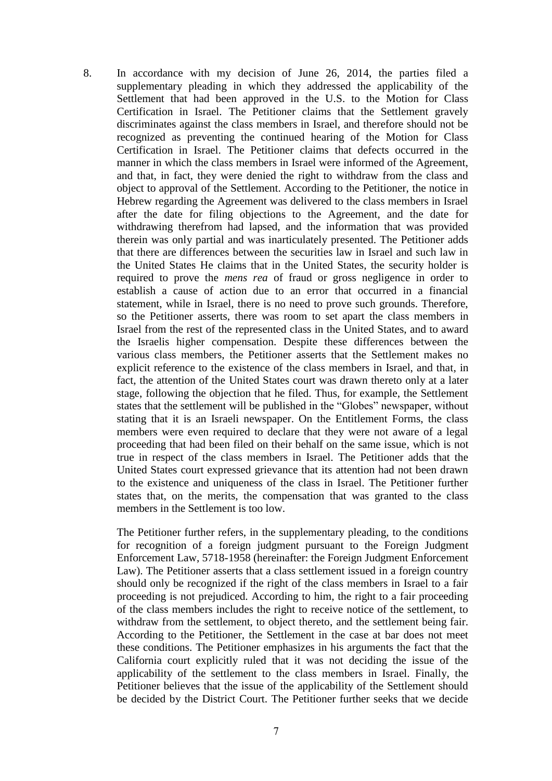8. In accordance with my decision of June 26, 2014, the parties filed a supplementary pleading in which they addressed the applicability of the Settlement that had been approved in the U.S. to the Motion for Class Certification in Israel. The Petitioner claims that the Settlement gravely discriminates against the class members in Israel, and therefore should not be recognized as preventing the continued hearing of the Motion for Class Certification in Israel. The Petitioner claims that defects occurred in the manner in which the class members in Israel were informed of the Agreement, and that, in fact, they were denied the right to withdraw from the class and object to approval of the Settlement. According to the Petitioner, the notice in Hebrew regarding the Agreement was delivered to the class members in Israel after the date for filing objections to the Agreement, and the date for withdrawing therefrom had lapsed, and the information that was provided therein was only partial and was inarticulately presented. The Petitioner adds that there are differences between the securities law in Israel and such law in the United States He claims that in the United States, the security holder is required to prove the *mens rea* of fraud or gross negligence in order to establish a cause of action due to an error that occurred in a financial statement, while in Israel, there is no need to prove such grounds. Therefore, so the Petitioner asserts, there was room to set apart the class members in Israel from the rest of the represented class in the United States, and to award the Israelis higher compensation. Despite these differences between the various class members, the Petitioner asserts that the Settlement makes no explicit reference to the existence of the class members in Israel, and that, in fact, the attention of the United States court was drawn thereto only at a later stage, following the objection that he filed. Thus, for example, the Settlement states that the settlement will be published in the "Globes" newspaper, without stating that it is an Israeli newspaper. On the Entitlement Forms, the class members were even required to declare that they were not aware of a legal proceeding that had been filed on their behalf on the same issue, which is not true in respect of the class members in Israel. The Petitioner adds that the United States court expressed grievance that its attention had not been drawn to the existence and uniqueness of the class in Israel. The Petitioner further states that, on the merits, the compensation that was granted to the class members in the Settlement is too low.

The Petitioner further refers, in the supplementary pleading, to the conditions for recognition of a foreign judgment pursuant to the Foreign Judgment Enforcement Law, 5718-1958 (hereinafter: the Foreign Judgment Enforcement Law). The Petitioner asserts that a class settlement issued in a foreign country should only be recognized if the right of the class members in Israel to a fair proceeding is not prejudiced. According to him, the right to a fair proceeding of the class members includes the right to receive notice of the settlement, to withdraw from the settlement, to object thereto, and the settlement being fair. According to the Petitioner, the Settlement in the case at bar does not meet these conditions. The Petitioner emphasizes in his arguments the fact that the California court explicitly ruled that it was not deciding the issue of the applicability of the settlement to the class members in Israel. Finally, the Petitioner believes that the issue of the applicability of the Settlement should be decided by the District Court. The Petitioner further seeks that we decide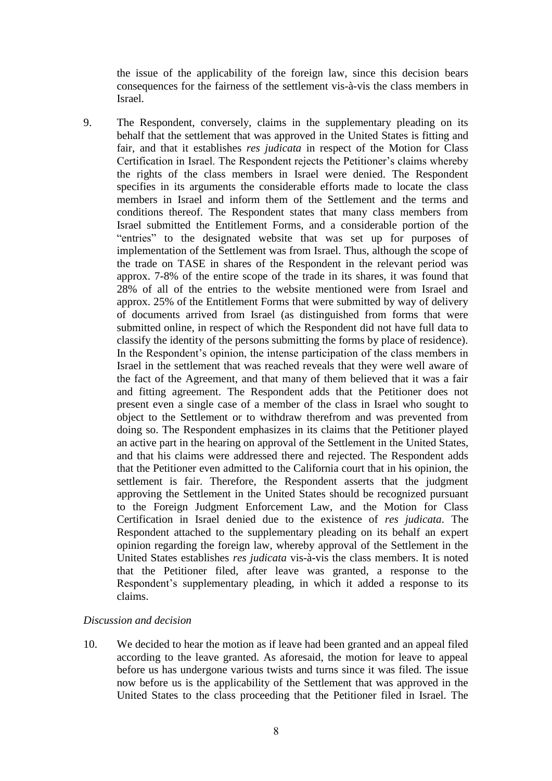the issue of the applicability of the foreign law, since this decision bears consequences for the fairness of the settlement vis-à-vis the class members in Israel.

9. The Respondent, conversely, claims in the supplementary pleading on its behalf that the settlement that was approved in the United States is fitting and fair, and that it establishes *res judicata* in respect of the Motion for Class Certification in Israel. The Respondent rejects the Petitioner's claims whereby the rights of the class members in Israel were denied. The Respondent specifies in its arguments the considerable efforts made to locate the class members in Israel and inform them of the Settlement and the terms and conditions thereof. The Respondent states that many class members from Israel submitted the Entitlement Forms, and a considerable portion of the "entries" to the designated website that was set up for purposes of implementation of the Settlement was from Israel. Thus, although the scope of the trade on TASE in shares of the Respondent in the relevant period was approx. 7-8% of the entire scope of the trade in its shares, it was found that 28% of all of the entries to the website mentioned were from Israel and approx. 25% of the Entitlement Forms that were submitted by way of delivery of documents arrived from Israel (as distinguished from forms that were submitted online, in respect of which the Respondent did not have full data to classify the identity of the persons submitting the forms by place of residence). In the Respondent's opinion, the intense participation of the class members in Israel in the settlement that was reached reveals that they were well aware of the fact of the Agreement, and that many of them believed that it was a fair and fitting agreement. The Respondent adds that the Petitioner does not present even a single case of a member of the class in Israel who sought to object to the Settlement or to withdraw therefrom and was prevented from doing so. The Respondent emphasizes in its claims that the Petitioner played an active part in the hearing on approval of the Settlement in the United States, and that his claims were addressed there and rejected. The Respondent adds that the Petitioner even admitted to the California court that in his opinion, the settlement is fair. Therefore, the Respondent asserts that the judgment approving the Settlement in the United States should be recognized pursuant to the Foreign Judgment Enforcement Law, and the Motion for Class Certification in Israel denied due to the existence of *res judicata*. The Respondent attached to the supplementary pleading on its behalf an expert opinion regarding the foreign law, whereby approval of the Settlement in the United States establishes *res judicata* vis-à-vis the class members. It is noted that the Petitioner filed, after leave was granted, a response to the Respondent's supplementary pleading, in which it added a response to its claims.

### *Discussion and decision*

10. We decided to hear the motion as if leave had been granted and an appeal filed according to the leave granted. As aforesaid, the motion for leave to appeal before us has undergone various twists and turns since it was filed. The issue now before us is the applicability of the Settlement that was approved in the United States to the class proceeding that the Petitioner filed in Israel. The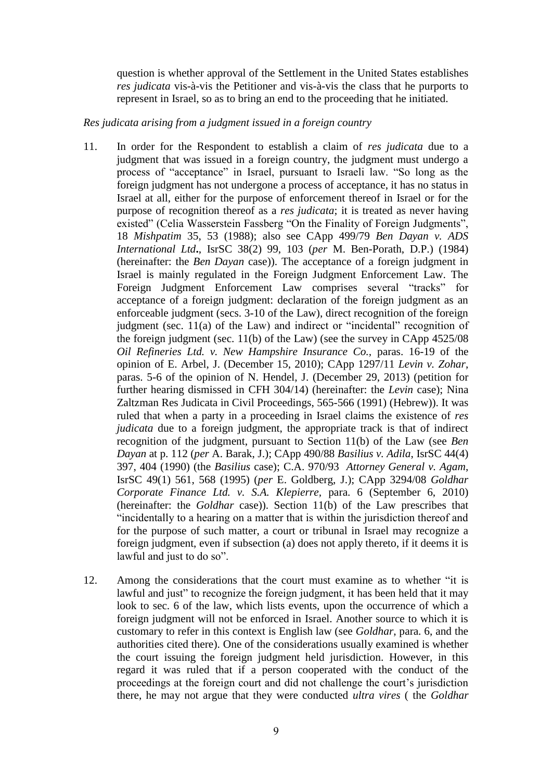question is whether approval of the Settlement in the United States establishes *res judicata* vis-à-vis the Petitioner and vis-à-vis the class that he purports to represent in Israel, so as to bring an end to the proceeding that he initiated.

### *Res judicata arising from a judgment issued in a foreign country*

- 11. In order for the Respondent to establish a claim of *res judicata* due to a judgment that was issued in a foreign country, the judgment must undergo a process of "acceptance" in Israel, pursuant to Israeli law. "So long as the foreign judgment has not undergone a process of acceptance, it has no status in Israel at all, either for the purpose of enforcement thereof in Israel or for the purpose of recognition thereof as a *res judicata*; it is treated as never having existed" (Celia Wasserstein Fassberg "On the Finality of Foreign Judgments", 18 *Mishpatim* 35, 53 (1988); also see CApp 499/79 *Ben Dayan v. ADS International Ltd***.**, IsrSC 38(2) 99, 103 (*per* M. Ben-Porath, D.P.) (1984) (hereinafter: the *Ben Dayan* case)). The acceptance of a foreign judgment in Israel is mainly regulated in the Foreign Judgment Enforcement Law. The Foreign Judgment Enforcement Law comprises several "tracks" for acceptance of a foreign judgment: declaration of the foreign judgment as an enforceable judgment (secs. 3-10 of the Law), direct recognition of the foreign judgment (sec. 11(a) of the Law) and indirect or "incidental" recognition of the foreign judgment (sec. 11(b) of the Law) (see the survey in CApp 4525/08 *Oil Refineries Ltd. v. New Hampshire Insurance Co.,* paras. 16-19 of the opinion of E. Arbel, J. (December 15, 2010); CApp 1297/11 *Levin v. Zohar*, paras. 5-6 of the opinion of N. Hendel, J. (December 29, 2013) (petition for further hearing dismissed in CFH 304/14) (hereinafter: the *Levin* case); Nina Zaltzman Res Judicata in Civil Proceedings, 565-566 (1991) (Hebrew)). It was ruled that when a party in a proceeding in Israel claims the existence of *res judicata* due to a foreign judgment, the appropriate track is that of indirect recognition of the judgment, pursuant to Section 11(b) of the Law (see *Ben Dayan* at p. 112 (*per* A. Barak, J.); CApp 490/88 *Basilius v. Adila*, IsrSC 44(4) 397, 404 (1990) (the *Basilius* case); C.A. 970/93 *Attorney General v. Agam*, IsrSC 49(1) 561, 568 (1995) (*per* E. Goldberg, J.); CApp 3294/08 *Goldhar Corporate Finance Ltd. v. S.A. Klepierre,* para. 6 (September 6, 2010) (hereinafter: the *Goldhar* case)). Section 11(b) of the Law prescribes that "incidentally to a hearing on a matter that is within the jurisdiction thereof and for the purpose of such matter, a court or tribunal in Israel may recognize a foreign judgment, even if subsection (a) does not apply thereto, if it deems it is lawful and just to do so".
- 12. Among the considerations that the court must examine as to whether "it is lawful and just" to recognize the foreign judgment, it has been held that it may look to sec. 6 of the law, which lists events, upon the occurrence of which a foreign judgment will not be enforced in Israel. Another source to which it is customary to refer in this context is English law (see *Goldhar*, para. 6, and the authorities cited there). One of the considerations usually examined is whether the court issuing the foreign judgment held jurisdiction. However, in this regard it was ruled that if a person cooperated with the conduct of the proceedings at the foreign court and did not challenge the court's jurisdiction there, he may not argue that they were conducted *ultra vires* ( the *Goldhar*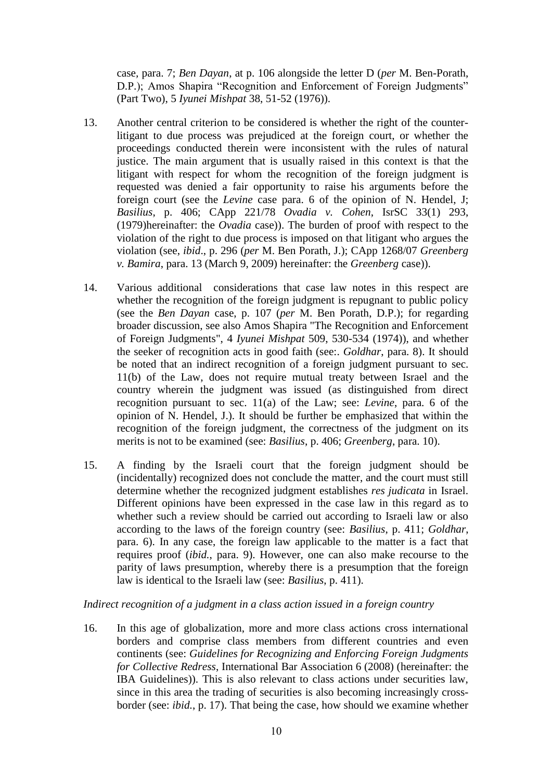case*,* para. 7; *Ben Dayan*, at p. 106 alongside the letter D (*per* M. Ben-Porath, D.P.); Amos Shapira "Recognition and Enforcement of Foreign Judgments" (Part Two), 5 *Iyunei Mishpat* 38, 51-52 (1976)).

- 13. Another central criterion to be considered is whether the right of the counterlitigant to due process was prejudiced at the foreign court, or whether the proceedings conducted therein were inconsistent with the rules of natural justice. The main argument that is usually raised in this context is that the litigant with respect for whom the recognition of the foreign judgment is requested was denied a fair opportunity to raise his arguments before the foreign court (see the *Levine* case para. 6 of the opinion of N. Hendel, J; *Basilius*, p. 406; CApp 221/78 *Ovadia v. Cohen*, IsrSC 33(1) 293, (1979)hereinafter: the *Ovadia* case)). The burden of proof with respect to the violation of the right to due process is imposed on that litigant who argues the violation (see, *ibid*., p. 296 (*per* M. Ben Porath, J.); CApp 1268/07 *Greenberg v. Bamira*, para. 13 (March 9, 2009) hereinafter: the *Greenberg* case)).
- 14. Various additional considerations that case law notes in this respect are whether the recognition of the foreign judgment is repugnant to public policy (see the *Ben Dayan* case, p. 107 (*per* M. Ben Porath, D.P.); for regarding broader discussion, see also Amos Shapira "The Recognition and Enforcement of Foreign Judgments", 4 *Iyunei Mishpat* 509, 530-534 (1974)), and whether the seeker of recognition acts in good faith (see:. *Goldhar*, para. 8). It should be noted that an indirect recognition of a foreign judgment pursuant to sec. 11(b) of the Law, does not require mutual treaty between Israel and the country wherein the judgment was issued (as distinguished from direct recognition pursuant to sec. 11(a) of the Law; see: *Levine*, para. 6 of the opinion of N. Hendel, J.). It should be further be emphasized that within the recognition of the foreign judgment, the correctness of the judgment on its merits is not to be examined (see: *Basilius*, p. 406; *Greenberg*, para. 10).
- 15. A finding by the Israeli court that the foreign judgment should be (incidentally) recognized does not conclude the matter, and the court must still determine whether the recognized judgment establishes *res judicata* in Israel. Different opinions have been expressed in the case law in this regard as to whether such a review should be carried out according to Israeli law or also according to the laws of the foreign country (see: *Basilius*, p. 411; *Goldhar*, para. 6). In any case, the foreign law applicable to the matter is a fact that requires proof (*ibid.*, para. 9). However, one can also make recourse to the parity of laws presumption, whereby there is a presumption that the foreign law is identical to the Israeli law (see: *Basilius*, p. 411).

# *Indirect recognition of a judgment in a class action issued in a foreign country*

16. In this age of globalization, more and more class actions cross international borders and comprise class members from different countries and even continents (see: *Guidelines for Recognizing and Enforcing Foreign Judgments for Collective Redress*, International Bar Association 6 (2008) (hereinafter: the IBA Guidelines)). This is also relevant to class actions under securities law, since in this area the trading of securities is also becoming increasingly crossborder (see: *ibid.*, p. 17). That being the case, how should we examine whether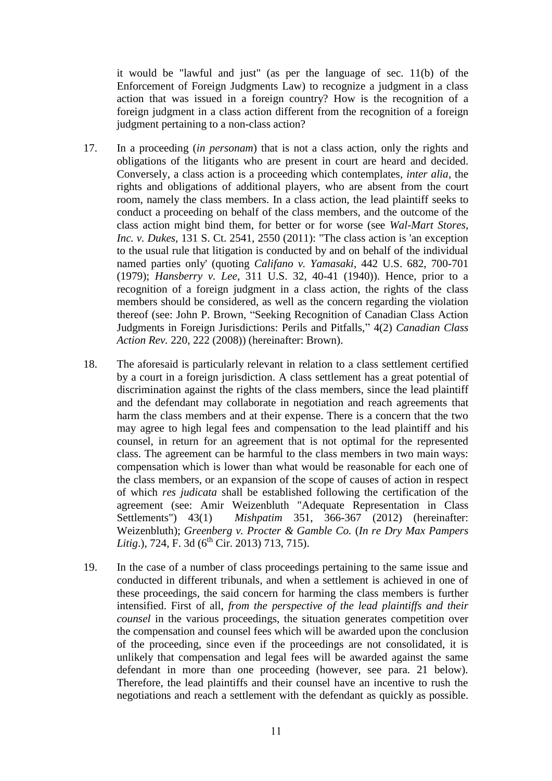it would be "lawful and just" (as per the language of sec. 11(b) of the Enforcement of Foreign Judgments Law) to recognize a judgment in a class action that was issued in a foreign country? How is the recognition of a foreign judgment in a class action different from the recognition of a foreign judgment pertaining to a non-class action?

- 17. In a proceeding (*in personam*) that is not a class action, only the rights and obligations of the litigants who are present in court are heard and decided. Conversely, a class action is a proceeding which contemplates, *inter alia*, the rights and obligations of additional players, who are absent from the court room, namely the class members. In a class action, the lead plaintiff seeks to conduct a proceeding on behalf of the class members, and the outcome of the class action might bind them, for better or for worse (see *Wal-Mart Stores, Inc. v. Dukes*, 131 S. Ct. 2541, 2550 (2011): "The class action is 'an exception to the usual rule that litigation is conducted by and on behalf of the individual named parties only' (quoting *Califano v. Yamasaki*, 442 U.S. 682, 700-701 (1979); *Hansberry v. Lee*, 311 U.S. 32, 40-41 (1940)). Hence, prior to a recognition of a foreign judgment in a class action, the rights of the class members should be considered, as well as the concern regarding the violation thereof (see: John P. Brown, "Seeking Recognition of Canadian Class Action Judgments in Foreign Jurisdictions: Perils and Pitfalls," 4(2) *Canadian Class Action Rev.* 220, 222 (2008)) (hereinafter: Brown).
- 18. The aforesaid is particularly relevant in relation to a class settlement certified by a court in a foreign jurisdiction. A class settlement has a great potential of discrimination against the rights of the class members, since the lead plaintiff and the defendant may collaborate in negotiation and reach agreements that harm the class members and at their expense. There is a concern that the two may agree to high legal fees and compensation to the lead plaintiff and his counsel, in return for an agreement that is not optimal for the represented class. The agreement can be harmful to the class members in two main ways: compensation which is lower than what would be reasonable for each one of the class members, or an expansion of the scope of causes of action in respect of which *res judicata* shall be established following the certification of the agreement (see: Amir Weizenbluth "Adequate Representation in Class Settlements") 43(1) *Mishpatim* 351, 366-367 (2012) (hereinafter: Weizenbluth); *Greenberg v. Procter & Gamble Co.* (*In re Dry Max Pampers Litig.*), 724, F. 3d  $(6^{th}$  Cir. 2013) 713, 715).
- 19. In the case of a number of class proceedings pertaining to the same issue and conducted in different tribunals, and when a settlement is achieved in one of these proceedings, the said concern for harming the class members is further intensified. First of all, *from the perspective of the lead plaintiffs and their counsel* in the various proceedings, the situation generates competition over the compensation and counsel fees which will be awarded upon the conclusion of the proceeding, since even if the proceedings are not consolidated, it is unlikely that compensation and legal fees will be awarded against the same defendant in more than one proceeding (however, see para. 21 below). Therefore, the lead plaintiffs and their counsel have an incentive to rush the negotiations and reach a settlement with the defendant as quickly as possible.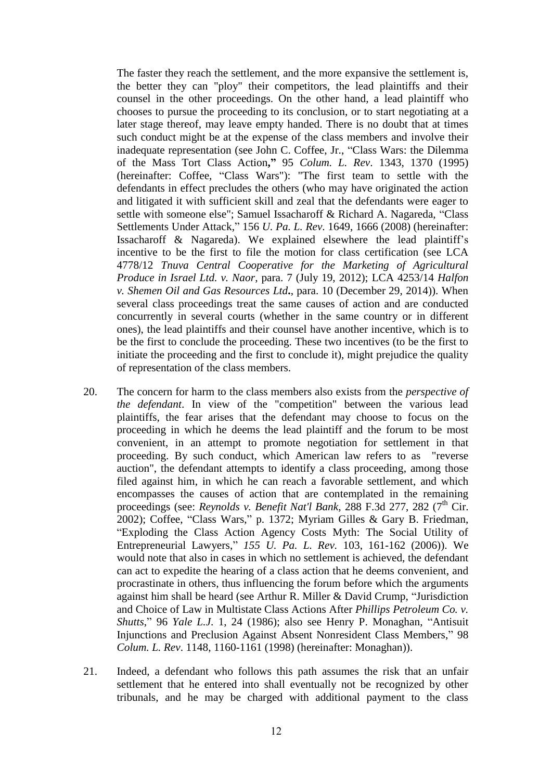The faster they reach the settlement, and the more expansive the settlement is, the better they can "ploy" their competitors, the lead plaintiffs and their counsel in the other proceedings. On the other hand, a lead plaintiff who chooses to pursue the proceeding to its conclusion, or to start negotiating at a later stage thereof, may leave empty handed. There is no doubt that at times such conduct might be at the expense of the class members and involve their inadequate representation (see John C. Coffee, Jr., "Class Wars: the Dilemma of the Mass Tort Class Action**,"** 95 *Colum. L. Rev*. 1343, 1370 (1995) (hereinafter: Coffee, "Class Wars"): "The first team to settle with the defendants in effect precludes the others (who may have originated the action and litigated it with sufficient skill and zeal that the defendants were eager to settle with someone else"; Samuel Issacharoff & Richard A. Nagareda, "Class Settlements Under Attack," 156 *U. Pa. L. Rev*. 1649, 1666 (2008) (hereinafter: Issacharoff & Nagareda). We explained elsewhere the lead plaintiff's incentive to be the first to file the motion for class certification (see LCA 4778/12 *Tnuva Central Cooperative for the Marketing of Agricultural Produce in Israel Ltd. v. Naor*, para. 7 (July 19, 2012); LCA 4253/14 *Halfon v. Shemen Oil and Gas Resources Ltd***.**, para. 10 (December 29, 2014)). When several class proceedings treat the same causes of action and are conducted concurrently in several courts (whether in the same country or in different ones), the lead plaintiffs and their counsel have another incentive, which is to be the first to conclude the proceeding. These two incentives (to be the first to initiate the proceeding and the first to conclude it), might prejudice the quality of representation of the class members.

- 20. The concern for harm to the class members also exists from the *perspective of the defendant*. In view of the "competition" between the various lead plaintiffs, the fear arises that the defendant may choose to focus on the proceeding in which he deems the lead plaintiff and the forum to be most convenient, in an attempt to promote negotiation for settlement in that proceeding. By such conduct, which American law refers to as "reverse auction", the defendant attempts to identify a class proceeding, among those filed against him, in which he can reach a favorable settlement, and which encompasses the causes of action that are contemplated in the remaining proceedings (see: *Reynolds v. Benefit Nat'l Bank*, 288 F.3d 277, 282 (7<sup>th</sup> Cir. 2002); Coffee, "Class Wars," p. 1372; Myriam Gilles & Gary B. Friedman, "Exploding the Class Action Agency Costs Myth: The Social Utility of Entrepreneurial Lawyers," *155 U. Pa. L. Rev.* 103, 161-162 (2006)). We would note that also in cases in which no settlement is achieved, the defendant can act to expedite the hearing of a class action that he deems convenient, and procrastinate in others, thus influencing the forum before which the arguments against him shall be heard (see Arthur R. Miller & David Crump, "Jurisdiction and Choice of Law in Multistate Class Actions After *Phillips Petroleum Co. v. Shutts*," 96 *Yale L.J*. 1, 24 (1986); also see Henry P. Monaghan, "Antisuit Injunctions and Preclusion Against Absent Nonresident Class Members," 98 *Colum. L. Rev*. 1148, 1160-1161 (1998) (hereinafter: Monaghan)).
- 21. Indeed, a defendant who follows this path assumes the risk that an unfair settlement that he entered into shall eventually not be recognized by other tribunals, and he may be charged with additional payment to the class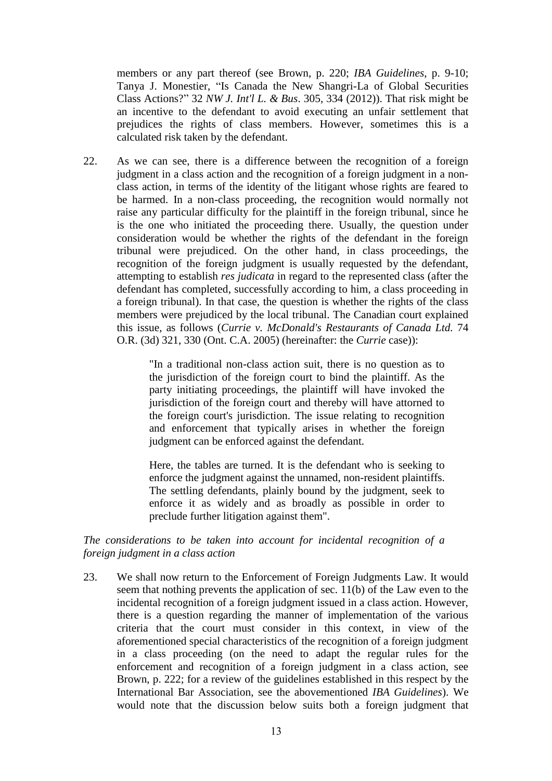members or any part thereof (see Brown, p. 220; *IBA Guidelines*, p. 9-10; Tanya J. Monestier, "Is Canada the New Shangri-La of Global Securities Class Actions?" 32 *NW J. Int'l L. & Bus*. 305, 334 (2012)). That risk might be an incentive to the defendant to avoid executing an unfair settlement that prejudices the rights of class members. However, sometimes this is a calculated risk taken by the defendant.

22. As we can see, there is a difference between the recognition of a foreign judgment in a class action and the recognition of a foreign judgment in a nonclass action, in terms of the identity of the litigant whose rights are feared to be harmed. In a non-class proceeding, the recognition would normally not raise any particular difficulty for the plaintiff in the foreign tribunal, since he is the one who initiated the proceeding there. Usually, the question under consideration would be whether the rights of the defendant in the foreign tribunal were prejudiced. On the other hand, in class proceedings, the recognition of the foreign judgment is usually requested by the defendant, attempting to establish *res judicata* in regard to the represented class (after the defendant has completed, successfully according to him, a class proceeding in a foreign tribunal). In that case, the question is whether the rights of the class members were prejudiced by the local tribunal. The Canadian court explained this issue, as follows (*Currie v. McDonald's Restaurants of Canada Ltd.* 74 O.R. (3d) 321, 330 (Ont. C.A. 2005) (hereinafter: the *Currie* case)):

> "In a traditional non-class action suit, there is no question as to the jurisdiction of the foreign court to bind the plaintiff. As the party initiating proceedings, the plaintiff will have invoked the jurisdiction of the foreign court and thereby will have attorned to the foreign court's jurisdiction. The issue relating to recognition and enforcement that typically arises in whether the foreign judgment can be enforced against the defendant.

> Here, the tables are turned. It is the defendant who is seeking to enforce the judgment against the unnamed, non-resident plaintiffs. The settling defendants, plainly bound by the judgment, seek to enforce it as widely and as broadly as possible in order to preclude further litigation against them".

*The considerations to be taken into account for incidental recognition of a foreign judgment in a class action*

23. We shall now return to the Enforcement of Foreign Judgments Law. It would seem that nothing prevents the application of sec. 11(b) of the Law even to the incidental recognition of a foreign judgment issued in a class action. However, there is a question regarding the manner of implementation of the various criteria that the court must consider in this context, in view of the aforementioned special characteristics of the recognition of a foreign judgment in a class proceeding (on the need to adapt the regular rules for the enforcement and recognition of a foreign judgment in a class action, see Brown, p. 222; for a review of the guidelines established in this respect by the International Bar Association, see the abovementioned *IBA Guidelines*). We would note that the discussion below suits both a foreign judgment that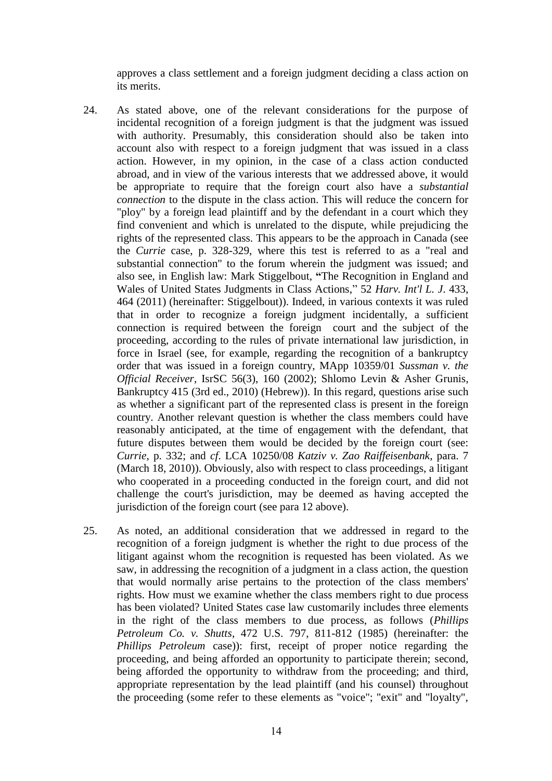approves a class settlement and a foreign judgment deciding a class action on its merits.

- 24. As stated above, one of the relevant considerations for the purpose of incidental recognition of a foreign judgment is that the judgment was issued with authority. Presumably, this consideration should also be taken into account also with respect to a foreign judgment that was issued in a class action. However, in my opinion, in the case of a class action conducted abroad, and in view of the various interests that we addressed above, it would be appropriate to require that the foreign court also have a *substantial connection* to the dispute in the class action. This will reduce the concern for "ploy" by a foreign lead plaintiff and by the defendant in a court which they find convenient and which is unrelated to the dispute, while prejudicing the rights of the represented class. This appears to be the approach in Canada (see the *Currie* case, p. 328-329, where this test is referred to as a "real and substantial connection" to the forum wherein the judgment was issued; and also see, in English law: Mark Stiggelbout, **"**The Recognition in England and Wales of United States Judgments in Class Actions," 52 *Harv. Int'l L. J*. 433, 464 (2011) (hereinafter: Stiggelbout)). Indeed, in various contexts it was ruled that in order to recognize a foreign judgment incidentally, a sufficient connection is required between the foreign court and the subject of the proceeding, according to the rules of private international law jurisdiction, in force in Israel (see, for example, regarding the recognition of a bankruptcy order that was issued in a foreign country, MApp 10359/01 *Sussman v. the Official Receiver*, IsrSC 56(3), 160 (2002); Shlomo Levin & Asher Grunis, Bankruptcy 415 (3rd ed., 2010) (Hebrew)). In this regard, questions arise such as whether a significant part of the represented class is present in the foreign country. Another relevant question is whether the class members could have reasonably anticipated, at the time of engagement with the defendant, that future disputes between them would be decided by the foreign court (see: *Currie*, p. 332; and *cf*. LCA 10250/08 *Katziv v. Zao Raiffeisenbank*, para. 7 (March 18, 2010)). Obviously, also with respect to class proceedings, a litigant who cooperated in a proceeding conducted in the foreign court, and did not challenge the court's jurisdiction, may be deemed as having accepted the jurisdiction of the foreign court (see para 12 above).
- 25. As noted, an additional consideration that we addressed in regard to the recognition of a foreign judgment is whether the right to due process of the litigant against whom the recognition is requested has been violated. As we saw, in addressing the recognition of a judgment in a class action, the question that would normally arise pertains to the protection of the class members' rights. How must we examine whether the class members right to due process has been violated? United States case law customarily includes three elements in the right of the class members to due process, as follows (*Phillips Petroleum Co. v. Shutts*, 472 U.S. 797, 811-812 (1985) (hereinafter: the *Phillips Petroleum* case)): first, receipt of proper notice regarding the proceeding, and being afforded an opportunity to participate therein; second, being afforded the opportunity to withdraw from the proceeding; and third, appropriate representation by the lead plaintiff (and his counsel) throughout the proceeding (some refer to these elements as "voice"; "exit" and "loyalty",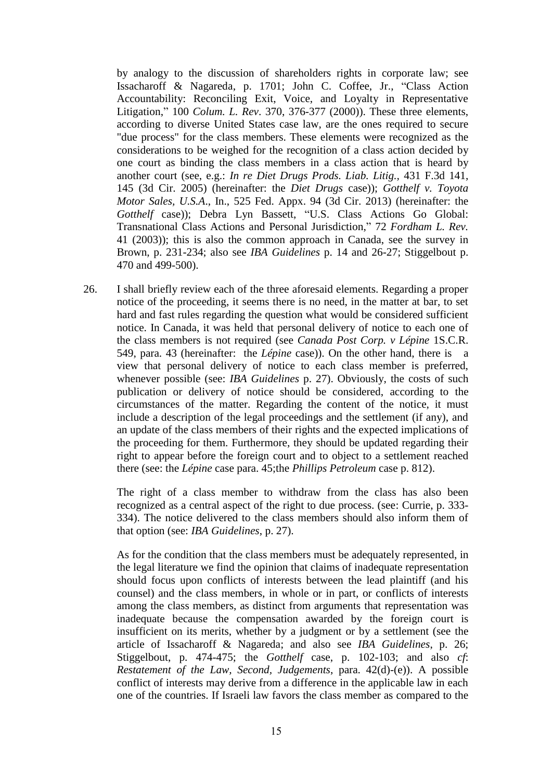by analogy to the discussion of shareholders rights in corporate law; see Issacharoff & Nagareda, p. 1701; John C. Coffee, Jr., "Class Action Accountability: Reconciling Exit, Voice, and Loyalty in Representative Litigation," 100 *Colum. L. Rev*. 370, 376-377 (2000)). These three elements, according to diverse United States case law, are the ones required to secure "due process" for the class members. These elements were recognized as the considerations to be weighed for the recognition of a class action decided by one court as binding the class members in a class action that is heard by another court (see, e.g.: *In re Diet Drugs Prods. Liab. Litig.,* 431 F.3d 141, 145 (3d Cir. 2005) (hereinafter: the *Diet Drugs* case)); *Gotthelf v. Toyota Motor Sales, U.S.A*., In., 525 Fed. Appx. 94 (3d Cir. 2013) (hereinafter: the Gotthelf case)); Debra Lyn Bassett, "U.S. Class Actions Go Global: Transnational Class Actions and Personal Jurisdiction," 72 *Fordham L. Rev.* 41 (2003)); this is also the common approach in Canada, see the survey in Brown, p. 231-234; also see *IBA Guidelines* p. 14 and 26-27; Stiggelbout p. 470 and 499-500).

26. I shall briefly review each of the three aforesaid elements. Regarding a proper notice of the proceeding, it seems there is no need, in the matter at bar, to set hard and fast rules regarding the question what would be considered sufficient notice. In Canada, it was held that personal delivery of notice to each one of the class members is not required (see *Canada Post Corp. v Lépine* 1S.C.R. 549, para. 43 (hereinafter: the *Lépine* case)). On the other hand, there is a view that personal delivery of notice to each class member is preferred, whenever possible (see: *IBA Guidelines* p. 27). Obviously, the costs of such publication or delivery of notice should be considered, according to the circumstances of the matter. Regarding the content of the notice, it must include a description of the legal proceedings and the settlement (if any), and an update of the class members of their rights and the expected implications of the proceeding for them. Furthermore, they should be updated regarding their right to appear before the foreign court and to object to a settlement reached there (see: the *Lépine* case para. 45;the *Phillips Petroleum* case p. 812).

The right of a class member to withdraw from the class has also been recognized as a central aspect of the right to due process. (see: Currie, p. 333- 334). The notice delivered to the class members should also inform them of that option (see: *IBA Guidelines*, p. 27).

As for the condition that the class members must be adequately represented, in the legal literature we find the opinion that claims of inadequate representation should focus upon conflicts of interests between the lead plaintiff (and his counsel) and the class members, in whole or in part, or conflicts of interests among the class members, as distinct from arguments that representation was inadequate because the compensation awarded by the foreign court is insufficient on its merits, whether by a judgment or by a settlement (see the article of Issacharoff & Nagareda; and also see *IBA Guidelines*, p. 26; Stiggelbout, p. 474-475; the *Gotthelf* case, p. 102-103; and also *cf*: *Restatement of the Law, Second, Judgements*, para. 42(d)-(e)). A possible conflict of interests may derive from a difference in the applicable law in each one of the countries. If Israeli law favors the class member as compared to the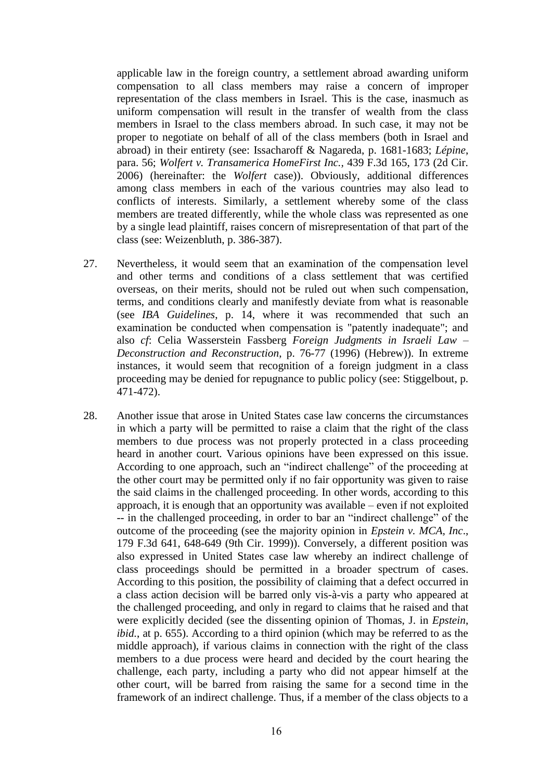applicable law in the foreign country, a settlement abroad awarding uniform compensation to all class members may raise a concern of improper representation of the class members in Israel. This is the case, inasmuch as uniform compensation will result in the transfer of wealth from the class members in Israel to the class members abroad. In such case, it may not be proper to negotiate on behalf of all of the class members (both in Israel and abroad) in their entirety (see: Issacharoff & Nagareda, p. 1681-1683; *Lépine*, para. 56; *Wolfert v. Transamerica HomeFirst Inc.,* 439 F.3d 165, 173 (2d Cir. 2006) (hereinafter: the *Wolfert* case)). Obviously, additional differences among class members in each of the various countries may also lead to conflicts of interests. Similarly, a settlement whereby some of the class members are treated differently, while the whole class was represented as one by a single lead plaintiff, raises concern of misrepresentation of that part of the class (see: Weizenbluth, p. 386-387).

- 27. Nevertheless, it would seem that an examination of the compensation level and other terms and conditions of a class settlement that was certified overseas, on their merits, should not be ruled out when such compensation, terms, and conditions clearly and manifestly deviate from what is reasonable (see *IBA Guidelines*, p. 14, where it was recommended that such an examination be conducted when compensation is "patently inadequate"; and also *cf*: Celia Wasserstein Fassberg *Foreign Judgments in Israeli Law – Deconstruction and Reconstruction*, p. 76-77 (1996) (Hebrew)). In extreme instances, it would seem that recognition of a foreign judgment in a class proceeding may be denied for repugnance to public policy (see: Stiggelbout, p. 471-472).
- 28. Another issue that arose in United States case law concerns the circumstances in which a party will be permitted to raise a claim that the right of the class members to due process was not properly protected in a class proceeding heard in another court. Various opinions have been expressed on this issue. According to one approach, such an "indirect challenge" of the proceeding at the other court may be permitted only if no fair opportunity was given to raise the said claims in the challenged proceeding. In other words, according to this approach, it is enough that an opportunity was available – even if not exploited -- in the challenged proceeding, in order to bar an "indirect challenge" of the outcome of the proceeding (see the majority opinion in *Epstein v. MCA, Inc*., 179 F.3d 641, 648-649 (9th Cir. 1999)). Conversely, a different position was also expressed in United States case law whereby an indirect challenge of class proceedings should be permitted in a broader spectrum of cases. According to this position, the possibility of claiming that a defect occurred in a class action decision will be barred only vis-à-vis a party who appeared at the challenged proceeding, and only in regard to claims that he raised and that were explicitly decided (see the dissenting opinion of Thomas, J. in *Epstein*, *ibid.*, at p. 655). According to a third opinion (which may be referred to as the middle approach), if various claims in connection with the right of the class members to a due process were heard and decided by the court hearing the challenge, each party, including a party who did not appear himself at the other court, will be barred from raising the same for a second time in the framework of an indirect challenge. Thus, if a member of the class objects to a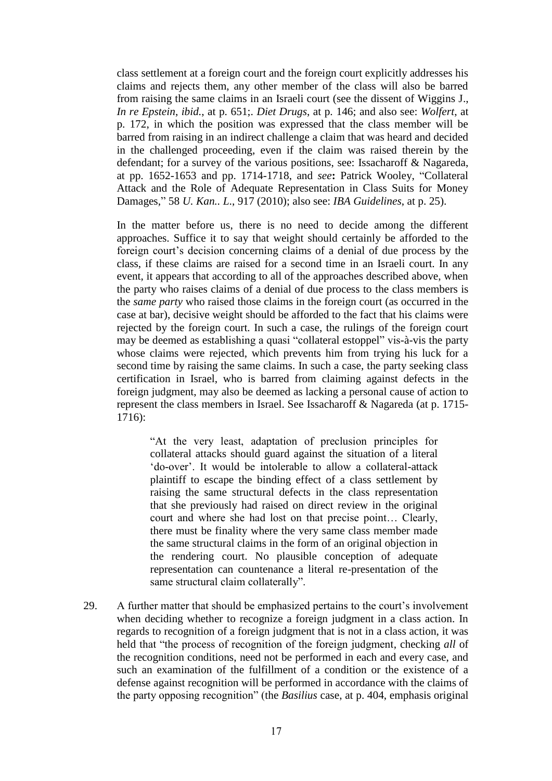class settlement at a foreign court and the foreign court explicitly addresses his claims and rejects them, any other member of the class will also be barred from raising the same claims in an Israeli court (see the dissent of Wiggins J., *In re Epstein*, *ibid.*, at p. 651;. *Diet Drugs*, at p. 146; and also see: *Wolfert*, at p. 172, in which the position was expressed that the class member will be barred from raising in an indirect challenge a claim that was heard and decided in the challenged proceeding, even if the claim was raised therein by the defendant; for a survey of the various positions, see: Issacharoff & Nagareda, at pp. 1652-1653 and pp. 1714-1718, and *see***:** Patrick Wooley, "Collateral Attack and the Role of Adequate Representation in Class Suits for Money Damages," 58 *U. Kan.. L*., 917 (2010); also see: *IBA Guidelines*, at p. 25).

In the matter before us, there is no need to decide among the different approaches. Suffice it to say that weight should certainly be afforded to the foreign court's decision concerning claims of a denial of due process by the class, if these claims are raised for a second time in an Israeli court. In any event, it appears that according to all of the approaches described above, when the party who raises claims of a denial of due process to the class members is the *same party* who raised those claims in the foreign court (as occurred in the case at bar), decisive weight should be afforded to the fact that his claims were rejected by the foreign court. In such a case, the rulings of the foreign court may be deemed as establishing a quasi "collateral estoppel" vis-à-vis the party whose claims were rejected, which prevents him from trying his luck for a second time by raising the same claims. In such a case, the party seeking class certification in Israel, who is barred from claiming against defects in the foreign judgment, may also be deemed as lacking a personal cause of action to represent the class members in Israel. See Issacharoff & Nagareda (at p. 1715- 1716):

"At the very least, adaptation of preclusion principles for collateral attacks should guard against the situation of a literal 'do-over'. It would be intolerable to allow a collateral-attack plaintiff to escape the binding effect of a class settlement by raising the same structural defects in the class representation that she previously had raised on direct review in the original court and where she had lost on that precise point… Clearly, there must be finality where the very same class member made the same structural claims in the form of an original objection in the rendering court. No plausible conception of adequate representation can countenance a literal re-presentation of the same structural claim collaterally".

29. A further matter that should be emphasized pertains to the court's involvement when deciding whether to recognize a foreign judgment in a class action. In regards to recognition of a foreign judgment that is not in a class action, it was held that "the process of recognition of the foreign judgment, checking *all* of the recognition conditions, need not be performed in each and every case, and such an examination of the fulfillment of a condition or the existence of a defense against recognition will be performed in accordance with the claims of the party opposing recognition" (the *Basilius* case, at p. 404, emphasis original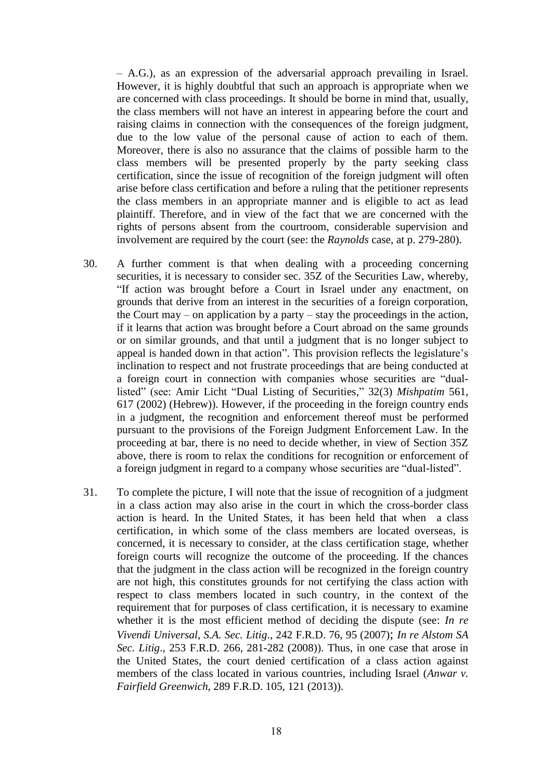– A.G.), as an expression of the adversarial approach prevailing in Israel. However, it is highly doubtful that such an approach is appropriate when we are concerned with class proceedings. It should be borne in mind that, usually, the class members will not have an interest in appearing before the court and raising claims in connection with the consequences of the foreign judgment, due to the low value of the personal cause of action to each of them. Moreover, there is also no assurance that the claims of possible harm to the class members will be presented properly by the party seeking class certification, since the issue of recognition of the foreign judgment will often arise before class certification and before a ruling that the petitioner represents the class members in an appropriate manner and is eligible to act as lead plaintiff. Therefore, and in view of the fact that we are concerned with the rights of persons absent from the courtroom, considerable supervision and involvement are required by the court (see: the *Raynolds* case, at p. 279-280).

- 30. A further comment is that when dealing with a proceeding concerning securities, it is necessary to consider sec. 35Z of the Securities Law, whereby, "If action was brought before a Court in Israel under any enactment, on grounds that derive from an interest in the securities of a foreign corporation, the Court may – on application by a party – stay the proceedings in the action, if it learns that action was brought before a Court abroad on the same grounds or on similar grounds, and that until a judgment that is no longer subject to appeal is handed down in that action". This provision reflects the legislature's inclination to respect and not frustrate proceedings that are being conducted at a foreign court in connection with companies whose securities are "duallisted" (see: Amir Licht "Dual Listing of Securities," 32(3) *Mishpatim* 561, 617 (2002) (Hebrew)). However, if the proceeding in the foreign country ends in a judgment, the recognition and enforcement thereof must be performed pursuant to the provisions of the Foreign Judgment Enforcement Law. In the proceeding at bar, there is no need to decide whether, in view of Section 35Z above, there is room to relax the conditions for recognition or enforcement of a foreign judgment in regard to a company whose securities are "dual-listed".
- 31. To complete the picture, I will note that the issue of recognition of a judgment in a class action may also arise in the court in which the cross-border class action is heard. In the United States, it has been held that when a class certification, in which some of the class members are located overseas, is concerned, it is necessary to consider, at the class certification stage, whether foreign courts will recognize the outcome of the proceeding. If the chances that the judgment in the class action will be recognized in the foreign country are not high, this constitutes grounds for not certifying the class action with respect to class members located in such country, in the context of the requirement that for purposes of class certification, it is necessary to examine whether it is the most efficient method of deciding the dispute (see: *In re Vivendi Universal, S.A. Sec. Litig*., 242 F.R.D. 76, 95 (2007); *In re Alstom SA Sec. Litig*., 253 F.R.D. 266, 281-282 (2008)). Thus, in one case that arose in the United States, the court denied certification of a class action against members of the class located in various countries, including Israel (*Anwar v. Fairfield Greenwich*, 289 F.R.D. 105, 121 (2013)).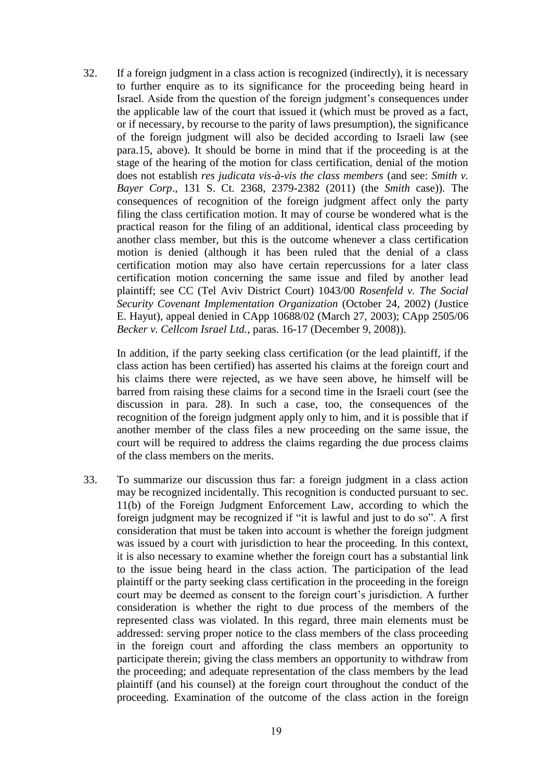32. If a foreign judgment in a class action is recognized (indirectly), it is necessary to further enquire as to its significance for the proceeding being heard in Israel. Aside from the question of the foreign judgment's consequences under the applicable law of the court that issued it (which must be proved as a fact, or if necessary, by recourse to the parity of laws presumption), the significance of the foreign judgment will also be decided according to Israeli law (see para.15, above). It should be borne in mind that if the proceeding is at the stage of the hearing of the motion for class certification, denial of the motion does not establish *res judicata vis-à-vis the class members* (and see: *Smith v. Bayer Corp*., 131 S. Ct. 2368, 2379-2382 (2011) (the *Smith* case)). The consequences of recognition of the foreign judgment affect only the party filing the class certification motion. It may of course be wondered what is the practical reason for the filing of an additional, identical class proceeding by another class member, but this is the outcome whenever a class certification motion is denied (although it has been ruled that the denial of a class certification motion may also have certain repercussions for a later class certification motion concerning the same issue and filed by another lead plaintiff; see CC (Tel Aviv District Court) 1043/00 *Rosenfeld v. The Social Security Covenant Implementation Organization* (October 24, 2002) (Justice E. Hayut), appeal denied in CApp 10688/02 (March 27, 2003); CApp 2505/06 *Becker v. Cellcom Israel Ltd.*, paras. 16-17 (December 9, 2008)).

In addition, if the party seeking class certification (or the lead plaintiff, if the class action has been certified) has asserted his claims at the foreign court and his claims there were rejected, as we have seen above, he himself will be barred from raising these claims for a second time in the Israeli court (see the discussion in para. 28). In such a case, too, the consequences of the recognition of the foreign judgment apply only to him, and it is possible that if another member of the class files a new proceeding on the same issue, the court will be required to address the claims regarding the due process claims of the class members on the merits.

33. To summarize our discussion thus far: a foreign judgment in a class action may be recognized incidentally. This recognition is conducted pursuant to sec. 11(b) of the Foreign Judgment Enforcement Law, according to which the foreign judgment may be recognized if "it is lawful and just to do so". A first consideration that must be taken into account is whether the foreign judgment was issued by a court with jurisdiction to hear the proceeding. In this context, it is also necessary to examine whether the foreign court has a substantial link to the issue being heard in the class action. The participation of the lead plaintiff or the party seeking class certification in the proceeding in the foreign court may be deemed as consent to the foreign court's jurisdiction. A further consideration is whether the right to due process of the members of the represented class was violated. In this regard, three main elements must be addressed: serving proper notice to the class members of the class proceeding in the foreign court and affording the class members an opportunity to participate therein; giving the class members an opportunity to withdraw from the proceeding; and adequate representation of the class members by the lead plaintiff (and his counsel) at the foreign court throughout the conduct of the proceeding. Examination of the outcome of the class action in the foreign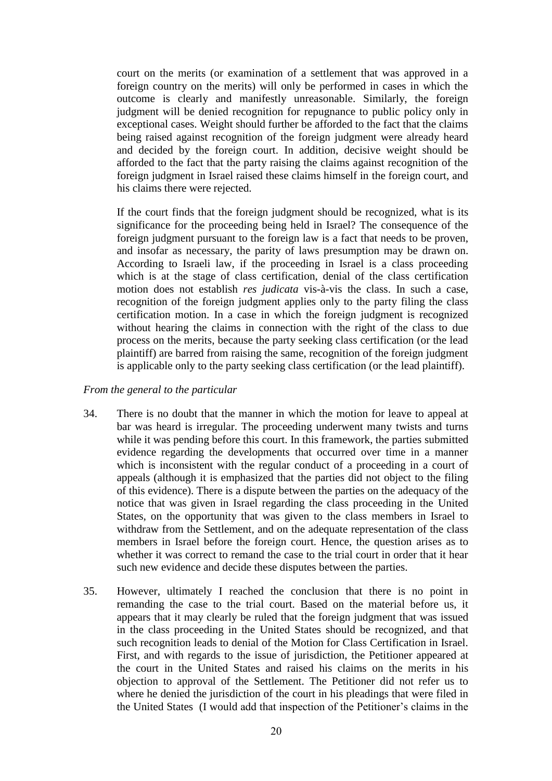court on the merits (or examination of a settlement that was approved in a foreign country on the merits) will only be performed in cases in which the outcome is clearly and manifestly unreasonable. Similarly, the foreign judgment will be denied recognition for repugnance to public policy only in exceptional cases. Weight should further be afforded to the fact that the claims being raised against recognition of the foreign judgment were already heard and decided by the foreign court. In addition, decisive weight should be afforded to the fact that the party raising the claims against recognition of the foreign judgment in Israel raised these claims himself in the foreign court, and his claims there were rejected.

If the court finds that the foreign judgment should be recognized, what is its significance for the proceeding being held in Israel? The consequence of the foreign judgment pursuant to the foreign law is a fact that needs to be proven, and insofar as necessary, the parity of laws presumption may be drawn on. According to Israeli law, if the proceeding in Israel is a class proceeding which is at the stage of class certification, denial of the class certification motion does not establish *res judicata* vis-à-vis the class. In such a case, recognition of the foreign judgment applies only to the party filing the class certification motion. In a case in which the foreign judgment is recognized without hearing the claims in connection with the right of the class to due process on the merits, because the party seeking class certification (or the lead plaintiff) are barred from raising the same, recognition of the foreign judgment is applicable only to the party seeking class certification (or the lead plaintiff).

## *From the general to the particular*

- 34. There is no doubt that the manner in which the motion for leave to appeal at bar was heard is irregular. The proceeding underwent many twists and turns while it was pending before this court. In this framework, the parties submitted evidence regarding the developments that occurred over time in a manner which is inconsistent with the regular conduct of a proceeding in a court of appeals (although it is emphasized that the parties did not object to the filing of this evidence). There is a dispute between the parties on the adequacy of the notice that was given in Israel regarding the class proceeding in the United States, on the opportunity that was given to the class members in Israel to withdraw from the Settlement, and on the adequate representation of the class members in Israel before the foreign court. Hence, the question arises as to whether it was correct to remand the case to the trial court in order that it hear such new evidence and decide these disputes between the parties.
- 35. However, ultimately I reached the conclusion that there is no point in remanding the case to the trial court. Based on the material before us, it appears that it may clearly be ruled that the foreign judgment that was issued in the class proceeding in the United States should be recognized, and that such recognition leads to denial of the Motion for Class Certification in Israel. First, and with regards to the issue of jurisdiction, the Petitioner appeared at the court in the United States and raised his claims on the merits in his objection to approval of the Settlement. The Petitioner did not refer us to where he denied the jurisdiction of the court in his pleadings that were filed in the United States (I would add that inspection of the Petitioner's claims in the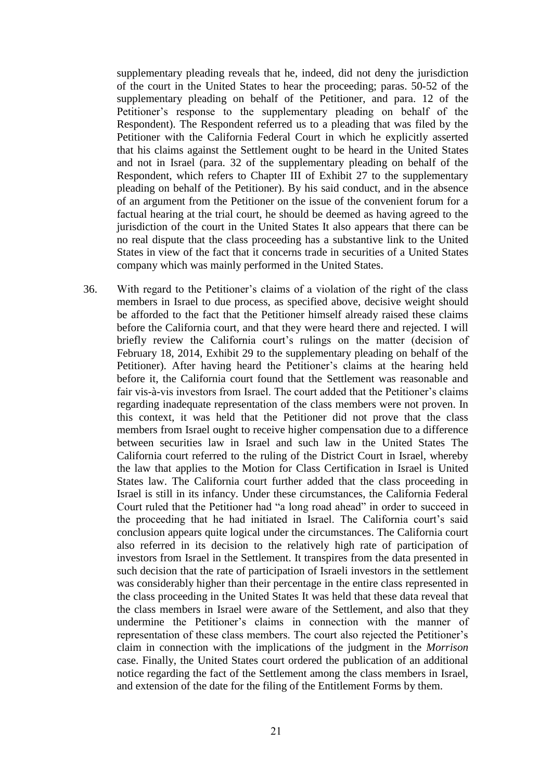supplementary pleading reveals that he, indeed, did not deny the jurisdiction of the court in the United States to hear the proceeding; paras. 50-52 of the supplementary pleading on behalf of the Petitioner, and para. 12 of the Petitioner's response to the supplementary pleading on behalf of the Respondent). The Respondent referred us to a pleading that was filed by the Petitioner with the California Federal Court in which he explicitly asserted that his claims against the Settlement ought to be heard in the United States and not in Israel (para. 32 of the supplementary pleading on behalf of the Respondent, which refers to Chapter III of Exhibit 27 to the supplementary pleading on behalf of the Petitioner). By his said conduct, and in the absence of an argument from the Petitioner on the issue of the convenient forum for a factual hearing at the trial court, he should be deemed as having agreed to the jurisdiction of the court in the United States It also appears that there can be no real dispute that the class proceeding has a substantive link to the United States in view of the fact that it concerns trade in securities of a United States company which was mainly performed in the United States.

36. With regard to the Petitioner's claims of a violation of the right of the class members in Israel to due process, as specified above, decisive weight should be afforded to the fact that the Petitioner himself already raised these claims before the California court, and that they were heard there and rejected. I will briefly review the California court's rulings on the matter (decision of February 18, 2014, Exhibit 29 to the supplementary pleading on behalf of the Petitioner). After having heard the Petitioner's claims at the hearing held before it, the California court found that the Settlement was reasonable and fair vis-à-vis investors from Israel. The court added that the Petitioner's claims regarding inadequate representation of the class members were not proven. In this context, it was held that the Petitioner did not prove that the class members from Israel ought to receive higher compensation due to a difference between securities law in Israel and such law in the United States The California court referred to the ruling of the District Court in Israel, whereby the law that applies to the Motion for Class Certification in Israel is United States law. The California court further added that the class proceeding in Israel is still in its infancy. Under these circumstances, the California Federal Court ruled that the Petitioner had "a long road ahead" in order to succeed in the proceeding that he had initiated in Israel. The California court's said conclusion appears quite logical under the circumstances. The California court also referred in its decision to the relatively high rate of participation of investors from Israel in the Settlement. It transpires from the data presented in such decision that the rate of participation of Israeli investors in the settlement was considerably higher than their percentage in the entire class represented in the class proceeding in the United States It was held that these data reveal that the class members in Israel were aware of the Settlement, and also that they undermine the Petitioner's claims in connection with the manner of representation of these class members. The court also rejected the Petitioner's claim in connection with the implications of the judgment in the *Morrison* case. Finally, the United States court ordered the publication of an additional notice regarding the fact of the Settlement among the class members in Israel, and extension of the date for the filing of the Entitlement Forms by them.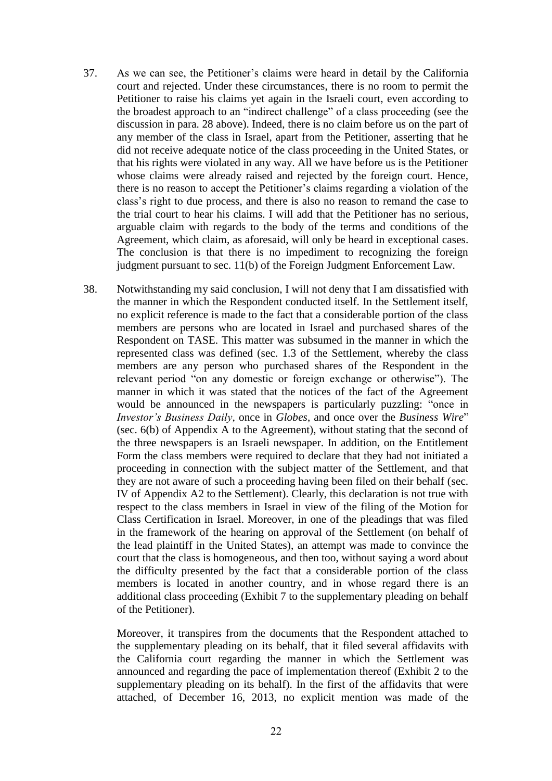- 37. As we can see, the Petitioner's claims were heard in detail by the California court and rejected. Under these circumstances, there is no room to permit the Petitioner to raise his claims yet again in the Israeli court, even according to the broadest approach to an "indirect challenge" of a class proceeding (see the discussion in para. 28 above). Indeed, there is no claim before us on the part of any member of the class in Israel, apart from the Petitioner, asserting that he did not receive adequate notice of the class proceeding in the United States, or that his rights were violated in any way. All we have before us is the Petitioner whose claims were already raised and rejected by the foreign court. Hence, there is no reason to accept the Petitioner's claims regarding a violation of the class's right to due process, and there is also no reason to remand the case to the trial court to hear his claims. I will add that the Petitioner has no serious, arguable claim with regards to the body of the terms and conditions of the Agreement, which claim, as aforesaid, will only be heard in exceptional cases. The conclusion is that there is no impediment to recognizing the foreign judgment pursuant to sec. 11(b) of the Foreign Judgment Enforcement Law.
- 38. Notwithstanding my said conclusion, I will not deny that I am dissatisfied with the manner in which the Respondent conducted itself. In the Settlement itself, no explicit reference is made to the fact that a considerable portion of the class members are persons who are located in Israel and purchased shares of the Respondent on TASE. This matter was subsumed in the manner in which the represented class was defined (sec. 1.3 of the Settlement, whereby the class members are any person who purchased shares of the Respondent in the relevant period "on any domestic or foreign exchange or otherwise"). The manner in which it was stated that the notices of the fact of the Agreement would be announced in the newspapers is particularly puzzling: "once in *Investor's Business Daily*, once in *Globes*, and once over the *Business Wire*" (sec. 6(b) of Appendix A to the Agreement), without stating that the second of the three newspapers is an Israeli newspaper. In addition, on the Entitlement Form the class members were required to declare that they had not initiated a proceeding in connection with the subject matter of the Settlement, and that they are not aware of such a proceeding having been filed on their behalf (sec. IV of Appendix A2 to the Settlement). Clearly, this declaration is not true with respect to the class members in Israel in view of the filing of the Motion for Class Certification in Israel. Moreover, in one of the pleadings that was filed in the framework of the hearing on approval of the Settlement (on behalf of the lead plaintiff in the United States), an attempt was made to convince the court that the class is homogeneous, and then too, without saying a word about the difficulty presented by the fact that a considerable portion of the class members is located in another country, and in whose regard there is an additional class proceeding (Exhibit 7 to the supplementary pleading on behalf of the Petitioner).

Moreover, it transpires from the documents that the Respondent attached to the supplementary pleading on its behalf, that it filed several affidavits with the California court regarding the manner in which the Settlement was announced and regarding the pace of implementation thereof (Exhibit 2 to the supplementary pleading on its behalf). In the first of the affidavits that were attached, of December 16, 2013, no explicit mention was made of the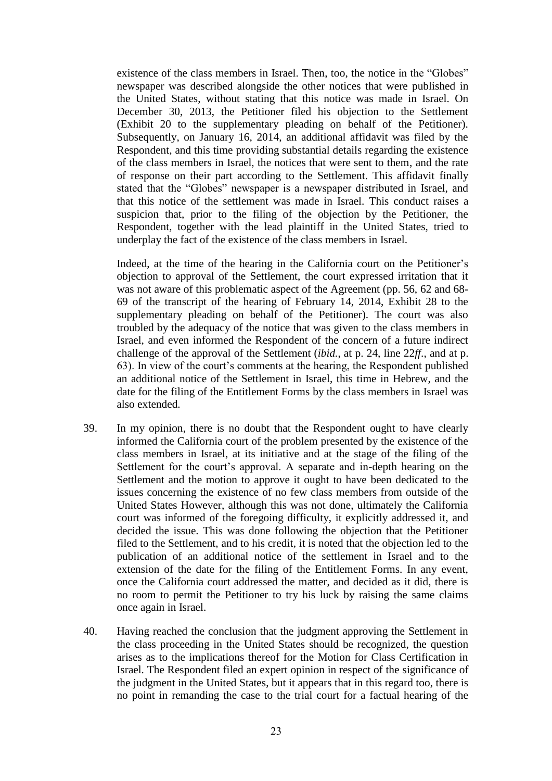existence of the class members in Israel. Then, too, the notice in the "Globes" newspaper was described alongside the other notices that were published in the United States, without stating that this notice was made in Israel. On December 30, 2013, the Petitioner filed his objection to the Settlement (Exhibit 20 to the supplementary pleading on behalf of the Petitioner). Subsequently, on January 16, 2014, an additional affidavit was filed by the Respondent, and this time providing substantial details regarding the existence of the class members in Israel, the notices that were sent to them, and the rate of response on their part according to the Settlement. This affidavit finally stated that the "Globes" newspaper is a newspaper distributed in Israel, and that this notice of the settlement was made in Israel. This conduct raises a suspicion that, prior to the filing of the objection by the Petitioner, the Respondent, together with the lead plaintiff in the United States, tried to underplay the fact of the existence of the class members in Israel.

Indeed, at the time of the hearing in the California court on the Petitioner's objection to approval of the Settlement, the court expressed irritation that it was not aware of this problematic aspect of the Agreement (pp. 56, 62 and 68- 69 of the transcript of the hearing of February 14, 2014, Exhibit 28 to the supplementary pleading on behalf of the Petitioner). The court was also troubled by the adequacy of the notice that was given to the class members in Israel, and even informed the Respondent of the concern of a future indirect challenge of the approval of the Settlement (*ibid.*, at p. 24, line 22*ff*., and at p. 63). In view of the court's comments at the hearing, the Respondent published an additional notice of the Settlement in Israel, this time in Hebrew, and the date for the filing of the Entitlement Forms by the class members in Israel was also extended.

- 39. In my opinion, there is no doubt that the Respondent ought to have clearly informed the California court of the problem presented by the existence of the class members in Israel, at its initiative and at the stage of the filing of the Settlement for the court's approval. A separate and in-depth hearing on the Settlement and the motion to approve it ought to have been dedicated to the issues concerning the existence of no few class members from outside of the United States However, although this was not done, ultimately the California court was informed of the foregoing difficulty, it explicitly addressed it, and decided the issue. This was done following the objection that the Petitioner filed to the Settlement, and to his credit, it is noted that the objection led to the publication of an additional notice of the settlement in Israel and to the extension of the date for the filing of the Entitlement Forms. In any event, once the California court addressed the matter, and decided as it did, there is no room to permit the Petitioner to try his luck by raising the same claims once again in Israel.
- 40. Having reached the conclusion that the judgment approving the Settlement in the class proceeding in the United States should be recognized, the question arises as to the implications thereof for the Motion for Class Certification in Israel. The Respondent filed an expert opinion in respect of the significance of the judgment in the United States, but it appears that in this regard too, there is no point in remanding the case to the trial court for a factual hearing of the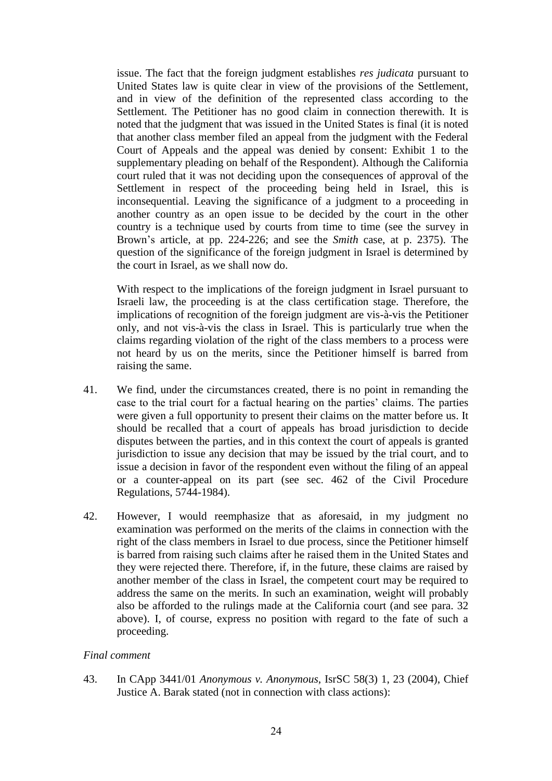issue. The fact that the foreign judgment establishes *res judicata* pursuant to United States law is quite clear in view of the provisions of the Settlement, and in view of the definition of the represented class according to the Settlement. The Petitioner has no good claim in connection therewith. It is noted that the judgment that was issued in the United States is final (it is noted that another class member filed an appeal from the judgment with the Federal Court of Appeals and the appeal was denied by consent: Exhibit 1 to the supplementary pleading on behalf of the Respondent). Although the California court ruled that it was not deciding upon the consequences of approval of the Settlement in respect of the proceeding being held in Israel, this is inconsequential. Leaving the significance of a judgment to a proceeding in another country as an open issue to be decided by the court in the other country is a technique used by courts from time to time (see the survey in Brown's article, at pp. 224-226; and see the *Smith* case, at p. 2375). The question of the significance of the foreign judgment in Israel is determined by the court in Israel, as we shall now do.

With respect to the implications of the foreign judgment in Israel pursuant to Israeli law, the proceeding is at the class certification stage. Therefore, the implications of recognition of the foreign judgment are vis-à-vis the Petitioner only, and not vis-à-vis the class in Israel. This is particularly true when the claims regarding violation of the right of the class members to a process were not heard by us on the merits, since the Petitioner himself is barred from raising the same.

- 41. We find, under the circumstances created, there is no point in remanding the case to the trial court for a factual hearing on the parties' claims. The parties were given a full opportunity to present their claims on the matter before us. It should be recalled that a court of appeals has broad jurisdiction to decide disputes between the parties, and in this context the court of appeals is granted jurisdiction to issue any decision that may be issued by the trial court, and to issue a decision in favor of the respondent even without the filing of an appeal or a counter-appeal on its part (see sec. 462 of the Civil Procedure Regulations, 5744-1984).
- 42. However, I would reemphasize that as aforesaid, in my judgment no examination was performed on the merits of the claims in connection with the right of the class members in Israel to due process, since the Petitioner himself is barred from raising such claims after he raised them in the United States and they were rejected there. Therefore, if, in the future, these claims are raised by another member of the class in Israel, the competent court may be required to address the same on the merits. In such an examination, weight will probably also be afforded to the rulings made at the California court (and see para. 32 above). I, of course, express no position with regard to the fate of such a proceeding.

### *Final comment*

43. In CApp 3441/01 *Anonymous v. Anonymous*, IsrSC 58(3) 1, 23 (2004), Chief Justice A. Barak stated (not in connection with class actions):